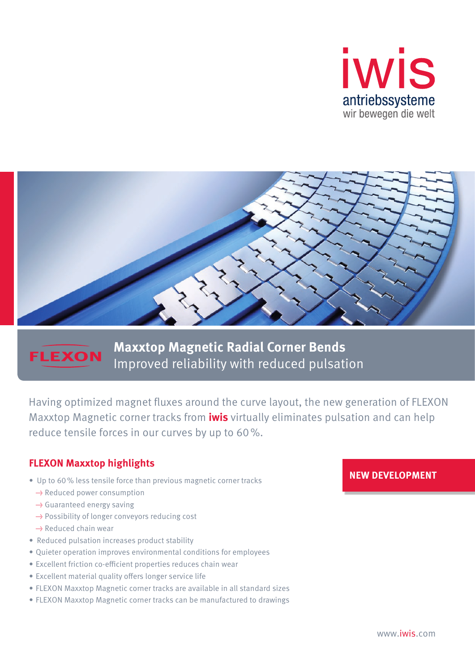



## **Maxxtop Magnetic Radial Corner Bends FLEXON** Improved reliability with reduced pulsation

Having optimized magnet fluxes around the curve layout, the new generation of FLEXON Maxxtop Magnetic corner tracks from **iwis** virtually eliminates pulsation and can help reduce tensile forces in our curves by up to 60%.

## **FLEXON Maxxtop highlights**

- Up to 60% less tensile force than previous magnetic corner tracks
	- → Reduced power consumption
	- → Guaranteed energy saving
	- → Possibility of longer conveyors reducing cost
	- → Reduced chain wear
- Reduced pulsation increases product stability
- Quieter operation improves environmental conditions for employees
- Excellent friction co-efficient properties reduces chain wear
- Excellent material quality offers longer service life
- FLEXON Maxxtop Magnetic corner tracks are available in all standard sizes
- FLEXON Maxxtop Magnetic corner tracks can be manufactured to drawings

## **NEW DEVELOPMENT**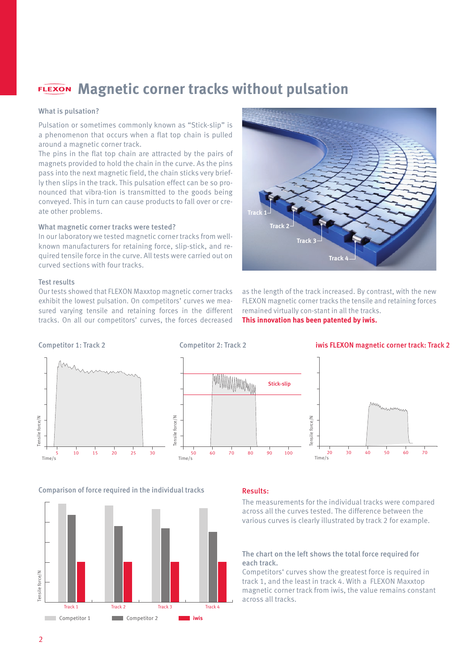## **FLEXON Magnetic corner tracks without pulsation**

## What is pulsation?

Pulsation or sometimes commonly known as "Stick-slip" is a phenomenon that occurs when a flat top chain is pulled around a magnetic corner track.

The pins in the flat top chain are attracted by the pairs of magnets provided to hold the chain in the curve. As the pins pass into the next magnetic field, the chain sticks very briefly then slips in the track. This pulsation effect can be so pronounced that vibra-tion is transmitted to the goods being conveyed. This in turn can cause products to fall over or create other problems.

#### What magnetic corner tracks were tested?

In our laboratory we tested magnetic corner tracks from wellknown manufacturers for retaining force, slip-stick, and required tensile force in the curve. All tests were carried out on curved sections with four tracks.

#### Test results

Our tests showed that FLEXON Maxxtop magnetic corner tracks exhibit the lowest pulsation. On competitors' curves we measured varying tensile and retaining forces in the different tracks. On all our competitors' curves, the forces decreased



as the length of the track increased. By contrast, with the new FLEXON magnetic corner tracks the tensile and retaining forces remained virtually con-stant in all the tracks.

## **This innovation has been patented by iwis.**

Competitor 2: Track 2 iwis FLEXON magnetic corner track: Track 2Competitor 1: Track 2 **Wettbewerb 2: Spur 2 iwis FLEXON-Magnetkurven: Spur 2** MWWWWWWW Stick-slip ensile force/N insile force/N ensile force/N Tensile force/N Tensile force/N Tensile force/N  $\frac{50}{1}$ 100 20 30 40 50 60 70 5 10 15 20 25 30 50 60 70 80 90 Time/s Time/s

## Comparison of force required in the individual tracks



## Results:

The measurements for the individual tracks were compared across all the curves tested. The difference between the various curves is clearly illustrated by track 2 for example.

## The chart on the left shows the total force required for each track.

Competitors' curves show the greatest force is required in track 1, and the least in track 4. With a FLEXON Maxxtop magnetic corner track from iwis, the value remains constant across all tracks.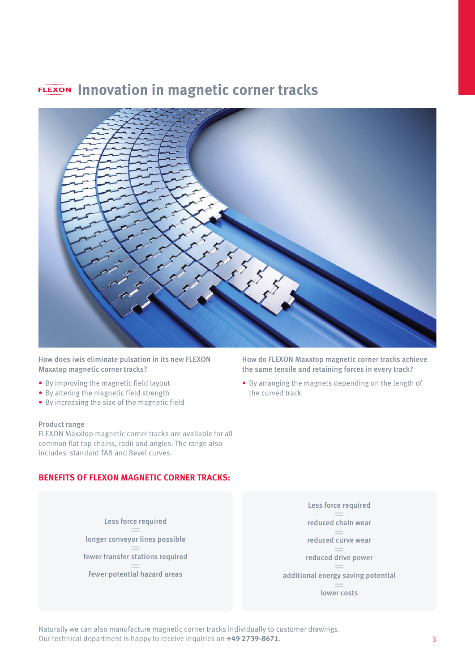# **FLEXON Innovation in magnetic corner tracks**



How does iwis eliminate pulsation in its new FLEXON Maxxtop magnetic corner tracks?

- By improving the magnetic field layout
- By altering the magnetic field strength
- By increasing the size of the magnetic field

#### Product range

FLEXON Maxxtop magnetic corner tracks are available for all common flat top chains, radii and angles. The range also includes standard TAB and Bevel curves.

## **BENEFITS OF FLEXON MAGNETIC CORNER TRACKS:**

Less force required longer conveyor lines possible = fewer transfer stations required fewer potential hazard areas =

How do FLEXON Maxxtop magnetic corner tracks achieve the same tensile and retaining forces in every track?

• By arranging the magnets depending on the length of the curved track



Naturally we can also manufacture magnetic corner tracks individually to customer drawings. Our technical department is happy to receive inquiries on **+49 2739-8671**.